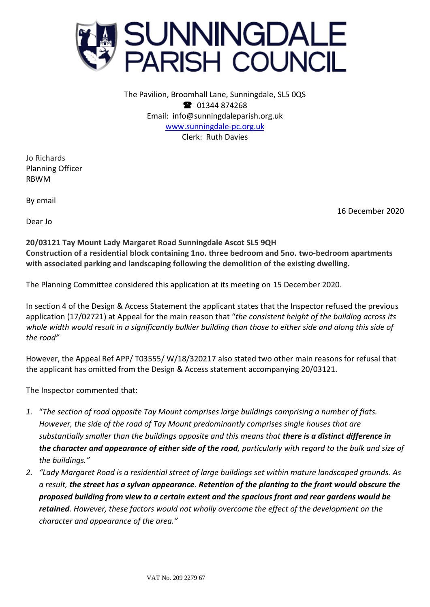

The Pavilion, Broomhall Lane, Sunningdale, SL5 0QS <sup>2</sup> 01344 874268 Email: info@sunningdaleparish.org.uk [www.sunningdale-pc.org.uk](http://www.sunningdale-pc.org.uk/) Clerk: Ruth Davies

Jo Richards Planning Officer RBWM

By email

Dear Jo

16 December 2020

**20/03121 Tay Mount Lady Margaret Road Sunningdale Ascot SL5 9QH Construction of a residential block containing 1no. three bedroom and 5no. two-bedroom apartments with associated parking and landscaping following the demolition of the existing dwelling.**

The Planning Committee considered this application at its meeting on 15 December 2020.

In section 4 of the Design & Access Statement the applicant states that the Inspector refused the previous application (17/02721) at Appeal for the main reason that "*the consistent height of the building across its whole width would result in a significantly bulkier building than those to either side and along this side of the road"*

However, the Appeal Ref APP/ T03555/ W/18/320217 also stated two other main reasons for refusal that the applicant has omitted from the Design & Access statement accompanying 20/03121.

The Inspector commented that:

- *1.* "*The section of road opposite Tay Mount comprises large buildings comprising a number of flats. However, the side of the road of Tay Mount predominantly comprises single houses that are substantially smaller than the buildings opposite and this means that there is a distinct difference in the character and appearance of either side of the road, particularly with regard to the bulk and size of the buildings."*
- *2. "Lady Margaret Road is a residential street of large buildings set within mature landscaped grounds. As a result, the street has a sylvan appearance. Retention of the planting to the front would obscure the proposed building from view to a certain extent and the spacious front and rear gardens would be retained. However, these factors would not wholly overcome the effect of the development on the character and appearance of the area."*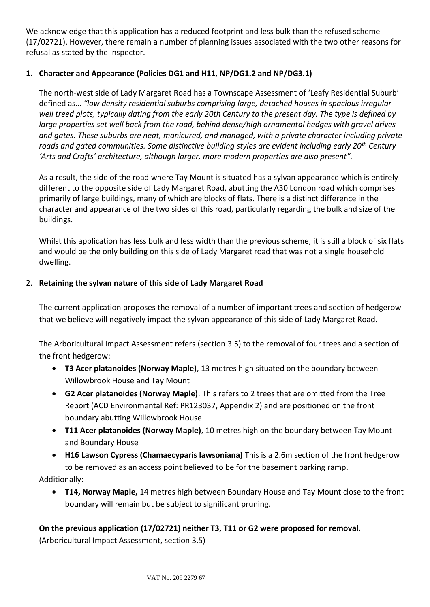We acknowledge that this application has a reduced footprint and less bulk than the refused scheme (17/02721). However, there remain a number of planning issues associated with the two other reasons for refusal as stated by the Inspector.

## **1. Character and Appearance (Policies DG1 and H11, NP/DG1.2 and NP/DG3.1)**

The north-west side of Lady Margaret Road has a Townscape Assessment of 'Leafy Residential Suburb' defined as… *"low density residential suburbs comprising large, detached houses in spacious irregular well treed plots, typically dating from the early 20th Century to the present day. The type is defined by large properties set well back from the road, behind dense/high ornamental hedges with gravel drives and gates. These suburbs are neat, manicured, and managed, with a private character including private roads and gated communities. Some distinctive building styles are evident including early 20th Century 'Arts and Crafts' architecture, although larger, more modern properties are also present".*

As a result, the side of the road where Tay Mount is situated has a sylvan appearance which is entirely different to the opposite side of Lady Margaret Road, abutting the A30 London road which comprises primarily of large buildings, many of which are blocks of flats. There is a distinct difference in the character and appearance of the two sides of this road, particularly regarding the bulk and size of the buildings.

Whilst this application has less bulk and less width than the previous scheme, it is still a block of six flats and would be the only building on this side of Lady Margaret road that was not a single household dwelling.

## 2. **Retaining the sylvan nature of this side of Lady Margaret Road**

The current application proposes the removal of a number of important trees and section of hedgerow that we believe will negatively impact the sylvan appearance of this side of Lady Margaret Road.

The Arboricultural Impact Assessment refers (section 3.5) to the removal of four trees and a section of the front hedgerow:

- **T3 Acer platanoides (Norway Maple)**, 13 metres high situated on the boundary between Willowbrook House and Tay Mount
- **G2 Acer platanoides (Norway Maple)**. This refers to 2 trees that are omitted from the Tree Report (ACD Environmental Ref: PR123037, Appendix 2) and are positioned on the front boundary abutting Willowbrook House
- **T11 Acer platanoides (Norway Maple)**, 10 metres high on the boundary between Tay Mount and Boundary House
- **H16 Lawson Cypress (Chamaecyparis lawsoniana)** This is a 2.6m section of the front hedgerow to be removed as an access point believed to be for the basement parking ramp.

Additionally:

• **T14, Norway Maple,** 14 metres high between Boundary House and Tay Mount close to the front boundary will remain but be subject to significant pruning.

# **On the previous application (17/02721) neither T3, T11 or G2 were proposed for removal.**

(Arboricultural Impact Assessment, section 3.5)